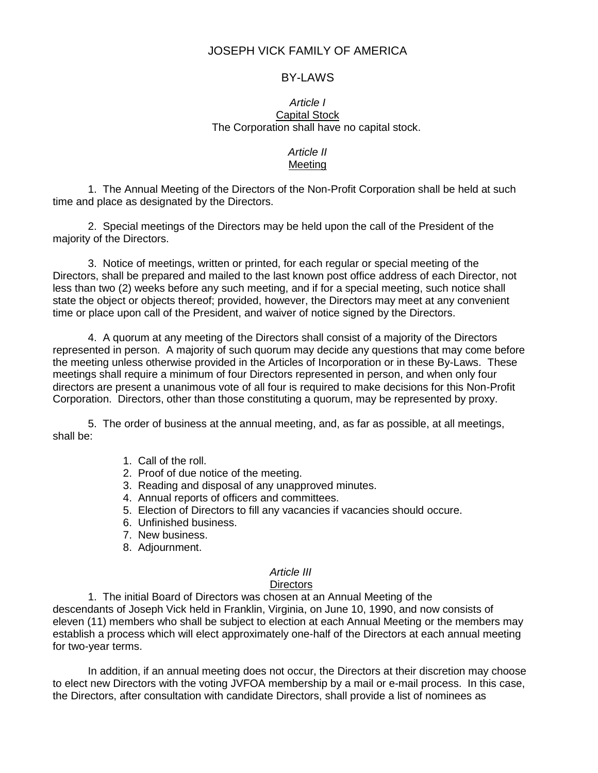# JOSEPH VICK FAMILY OF AMERICA

## BY-LAWS

#### *Article I* Capital Stock The Corporation shall have no capital stock.

## *Article II* Meeting

1. The Annual Meeting of the Directors of the Non-Profit Corporation shall be held at such time and place as designated by the Directors.

2. Special meetings of the Directors may be held upon the call of the President of the majority of the Directors.

3. Notice of meetings, written or printed, for each regular or special meeting of the Directors, shall be prepared and mailed to the last known post office address of each Director, not less than two (2) weeks before any such meeting, and if for a special meeting, such notice shall state the object or objects thereof; provided, however, the Directors may meet at any convenient time or place upon call of the President, and waiver of notice signed by the Directors.

4. A quorum at any meeting of the Directors shall consist of a majority of the Directors represented in person. A majority of such quorum may decide any questions that may come before the meeting unless otherwise provided in the Articles of Incorporation or in these By-Laws. These meetings shall require a minimum of four Directors represented in person, and when only four directors are present a unanimous vote of all four is required to make decisions for this Non-Profit Corporation. Directors, other than those constituting a quorum, may be represented by proxy.

5. The order of business at the annual meeting, and, as far as possible, at all meetings, shall be:

- 1. Call of the roll.
- 2. Proof of due notice of the meeting.
- 3. Reading and disposal of any unapproved minutes.
- 4. Annual reports of officers and committees.
- 5. Election of Directors to fill any vacancies if vacancies should occure.
- 6. Unfinished business.
- 7. New business.
- 8. Adjournment.

# *Article III*

# **Directors**

1. The initial Board of Directors was chosen at an Annual Meeting of the descendants of Joseph Vick held in Franklin, Virginia, on June 10, 1990, and now consists of eleven (11) members who shall be subject to election at each Annual Meeting or the members may establish a process which will elect approximately one-half of the Directors at each annual meeting for two-year terms.

In addition, if an annual meeting does not occur, the Directors at their discretion may choose to elect new Directors with the voting JVFOA membership by a mail or e-mail process. In this case, the Directors, after consultation with candidate Directors, shall provide a list of nominees as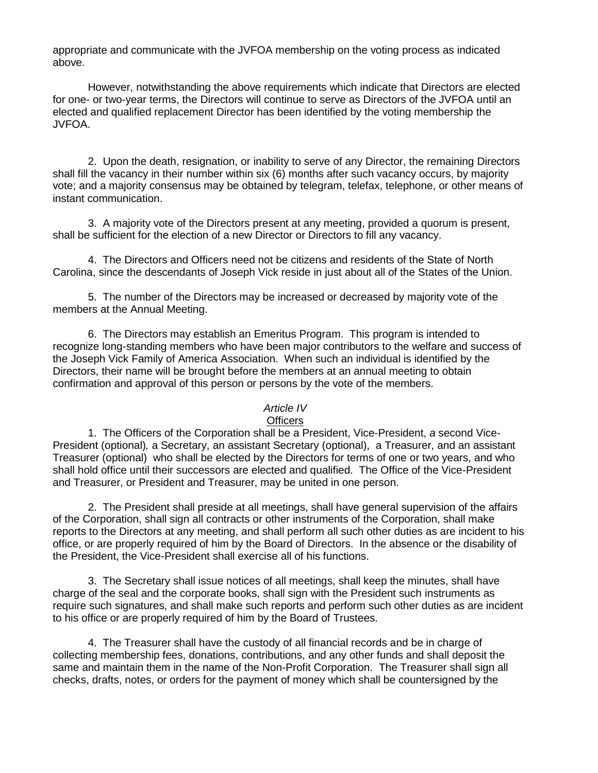appropriate and communicate with the JVFOA membership on the voting process as indicated above.

However, notwithstanding the above requirements which indicate that Directors are elected for one- or two-year terms, the Directors will continue to serve as Directors of the JVFOA until an elected and qualified replacement Director has been identified by the voting membership the JVFOA.

2. Upon the death, resignation, or inability to serve of any Director, the remaining Directors shall fill the vacancy in their number within six (6) months after such vacancy occurs, by majority vote; and a majority consensus may be obtained by telegram, telefax, telephone, or other means of instant communication.

3. A majority vote of the Directors present at any meeting, provided a quorum is present, shall be sufficient for the election of a new Director or Directors to fill any vacancy.

4. The Directors and Officers need not be citizens and residents of the State of North Carolina, since the descendants of Joseph Vick reside in just about all of the States of the Union.

5. The number of the Directors may be increased or decreased by majority vote of the members at the Annual Meeting.

6. The Directors may establish an Emeritus Program. This program is intended to recognize long-standing members who have been major contributors to the welfare and success of the Joseph Vick Family of America Association. When such an individual is identified by the Directors, their name will be brought before the members at an annual meeting to obtain confirmation and approval of this person or persons by the vote of the members.

#### *Article IV*

## **Officers**

1. The Officers of the Corporation shall be a President, Vice-President, *a* second Vice-President (optional)*,* a Secretary, an assistant Secretary (optional), a Treasurer, and an assistant Treasurer (optional) who shall be elected by the Directors for terms of one or two years, and who shall hold office until their successors are elected and qualified. The Office of the Vice-President and Treasurer, or President and Treasurer, may be united in one person.

2. The President shall preside at all meetings, shall have general supervision of the affairs of the Corporation, shall sign all contracts or other instruments of the Corporation, shall make reports to the Directors at any meeting, and shall perform all such other duties as are incident to his office, or are properly required of him by the Board of Directors. In the absence or the disability of the President, the Vice-President shall exercise all of his functions.

3. The Secretary shall issue notices of all meetings, shall keep the minutes, shall have charge of the seal and the corporate books, shall sign with the President such instruments as require such signatures, and shall make such reports and perform such other duties as are incident to his office or are properly required of him by the Board of Trustees.

4. The Treasurer shall have the custody of all financial records and be in charge of collecting membership fees, donations, contributions, and any other funds and shall deposit the same and maintain them in the name of the Non-Profit Corporation. The Treasurer shall sign all checks, drafts, notes, or orders for the payment of money which shall be countersigned by the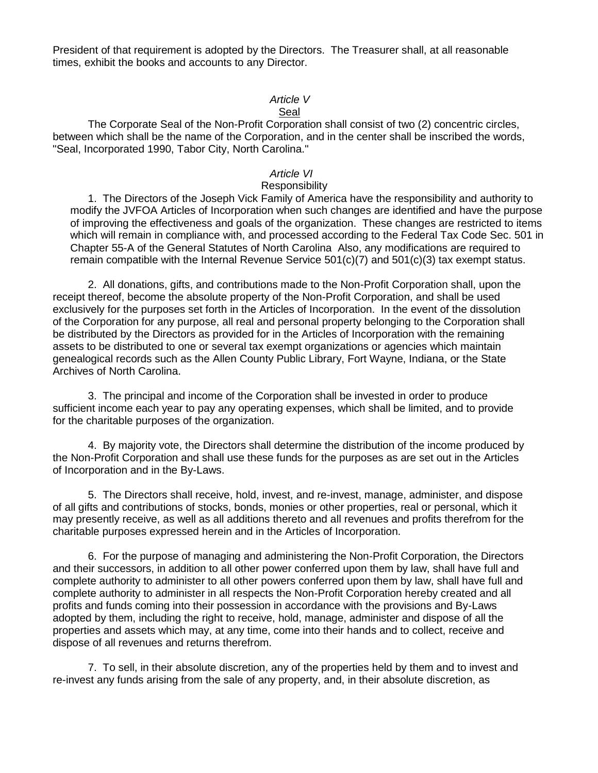President of that requirement is adopted by the Directors. The Treasurer shall, at all reasonable times, exhibit the books and accounts to any Director.

## *Article V*

## Seal

The Corporate Seal of the Non-Profit Corporation shall consist of two (2) concentric circles, between which shall be the name of the Corporation, and in the center shall be inscribed the words, "Seal, Incorporated 1990, Tabor City, North Carolina."

## *Article VI*

### **Responsibility**

1. The Directors of the Joseph Vick Family of America have the responsibility and authority to modify the JVFOA Articles of Incorporation when such changes are identified and have the purpose of improving the effectiveness and goals of the organization. These changes are restricted to items which will remain in compliance with, and processed according to the Federal Tax Code Sec. 501 in Chapter 55-A of the General Statutes of North Carolina Also, any modifications are required to remain compatible with the Internal Revenue Service 501(c)(7) and 501(c)(3) tax exempt status.

2. All donations, gifts, and contributions made to the Non-Profit Corporation shall, upon the receipt thereof, become the absolute property of the Non-Profit Corporation, and shall be used exclusively for the purposes set forth in the Articles of Incorporation. In the event of the dissolution of the Corporation for any purpose, all real and personal property belonging to the Corporation shall be distributed by the Directors as provided for in the Articles of Incorporation with the remaining assets to be distributed to one or several tax exempt organizations or agencies which maintain genealogical records such as the Allen County Public Library, Fort Wayne, Indiana, or the State Archives of North Carolina.

3. The principal and income of the Corporation shall be invested in order to produce sufficient income each year to pay any operating expenses, which shall be limited, and to provide for the charitable purposes of the organization.

4. By majority vote, the Directors shall determine the distribution of the income produced by the Non-Profit Corporation and shall use these funds for the purposes as are set out in the Articles of Incorporation and in the By-Laws.

5. The Directors shall receive, hold, invest, and re-invest, manage, administer, and dispose of all gifts and contributions of stocks, bonds, monies or other properties, real or personal, which it may presently receive, as well as all additions thereto and all revenues and profits therefrom for the charitable purposes expressed herein and in the Articles of Incorporation.

6. For the purpose of managing and administering the Non-Profit Corporation, the Directors and their successors, in addition to all other power conferred upon them by law, shall have full and complete authority to administer to all other powers conferred upon them by law, shall have full and complete authority to administer in all respects the Non-Profit Corporation hereby created and all profits and funds coming into their possession in accordance with the provisions and By-Laws adopted by them, including the right to receive, hold, manage, administer and dispose of all the properties and assets which may, at any time, come into their hands and to collect, receive and dispose of all revenues and returns therefrom.

7. To sell, in their absolute discretion, any of the properties held by them and to invest and re-invest any funds arising from the sale of any property, and, in their absolute discretion, as